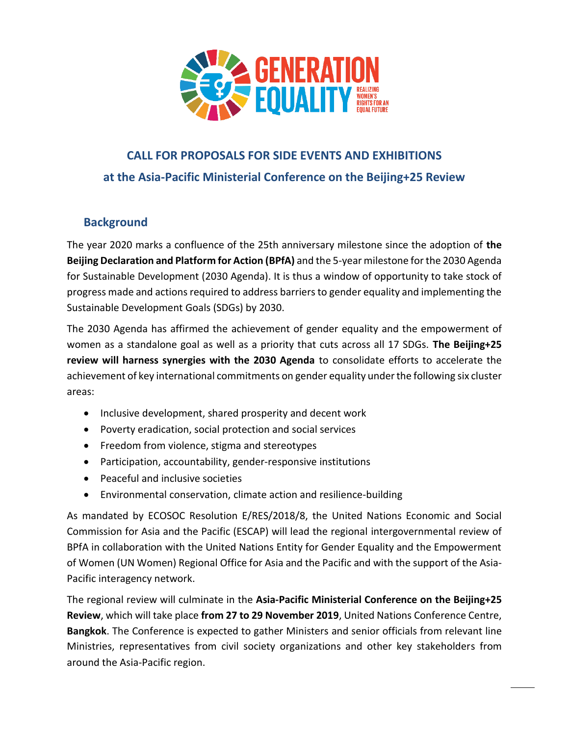

# **CALL FOR PROPOSALS FOR SIDE EVENTS AND EXHIBITIONS at the Asia-Pacific Ministerial Conference on the Beijing+25 Review**

## **Background**

The year 2020 marks a confluence of the 25th anniversary milestone since the adoption of **the Beijing Declaration and Platform for Action (BPfA)** and the 5-year milestone for the 2030 Agenda for Sustainable Development (2030 Agenda). It is thus a window of opportunity to take stock of progress made and actions required to address barriers to gender equality and implementing the Sustainable Development Goals (SDGs) by 2030.

The 2030 Agenda has affirmed the achievement of gender equality and the empowerment of women as a standalone goal as well as a priority that cuts across all 17 SDGs. **The Beijing+25 review will harness synergies with the 2030 Agenda** to consolidate efforts to accelerate the achievement of key international commitments on gender equality under the following six cluster areas:

- Inclusive development, shared prosperity and decent work
- Poverty eradication, social protection and social services
- Freedom from violence, stigma and stereotypes
- Participation, accountability, gender-responsive institutions
- Peaceful and inclusive societies
- Environmental conservation, climate action and resilience-building

As mandated by ECOSOC Resolution E/RES/2018/8, the United Nations Economic and Social Commission for Asia and the Pacific (ESCAP) will lead the regional intergovernmental review of BPfA in collaboration with the United Nations Entity for Gender Equality and the Empowerment of Women (UN Women) Regional Office for Asia and the Pacific and with the support of the Asia-Pacific interagency network.

The regional review will culminate in the **Asia-Pacific Ministerial Conference on the Beijing+25 Review**, which will take place **from 27 to 29 November 2019**, United Nations Conference Centre, **Bangkok**. The Conference is expected to gather Ministers and senior officials from relevant line Ministries, representatives from civil society organizations and other key stakeholders from around the Asia-Pacific region.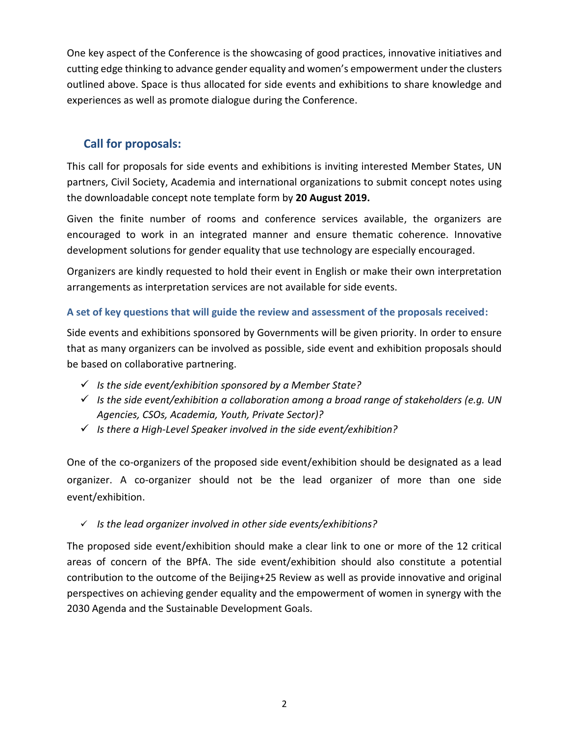One key aspect of the Conference is the showcasing of good practices, innovative initiatives and cutting edge thinking to advance gender equality and women's empowerment under the clusters outlined above. Space is thus allocated for side events and exhibitions to share knowledge and experiences as well as promote dialogue during the Conference.

## **Call for proposals:**

This call for proposals for side events and exhibitions is inviting interested Member States, UN partners, Civil Society, Academia and international organizations to submit concept notes using the downloadable concept note template form by **20 August 2019.**

Given the finite number of rooms and conference services available, the organizers are encouraged to work in an integrated manner and ensure thematic coherence. Innovative development solutions for gender equality that use technology are especially encouraged.

Organizers are kindly requested to hold their event in English or make their own interpretation arrangements as interpretation services are not available for side events.

### **A set of key questions that will guide the review and assessment of the proposals received:**

Side events and exhibitions sponsored by Governments will be given priority. In order to ensure that as many organizers can be involved as possible, side event and exhibition proposals should be based on collaborative partnering.

- ✓ *Is the side event/exhibition sponsored by a Member State?*
- ✓ *Is the side event/exhibition a collaboration among a broad range of stakeholders (e.g. UN Agencies, CSOs, Academia, Youth, Private Sector)?*
- ✓ *Is there a High-Level Speaker involved in the side event/exhibition?*

One of the co-organizers of the proposed side event/exhibition should be designated as a lead organizer. A co-organizer should not be the lead organizer of more than one side event/exhibition.

#### ✓ *Is the lead organizer involved in other side events/exhibitions?*

The proposed side event/exhibition should make a clear link to one or more of the 12 critical areas of concern of the BPfA. The side event/exhibition should also constitute a potential contribution to the outcome of the Beijing+25 Review as well as provide innovative and original perspectives on achieving gender equality and the empowerment of women in synergy with the 2030 Agenda and the Sustainable Development Goals.